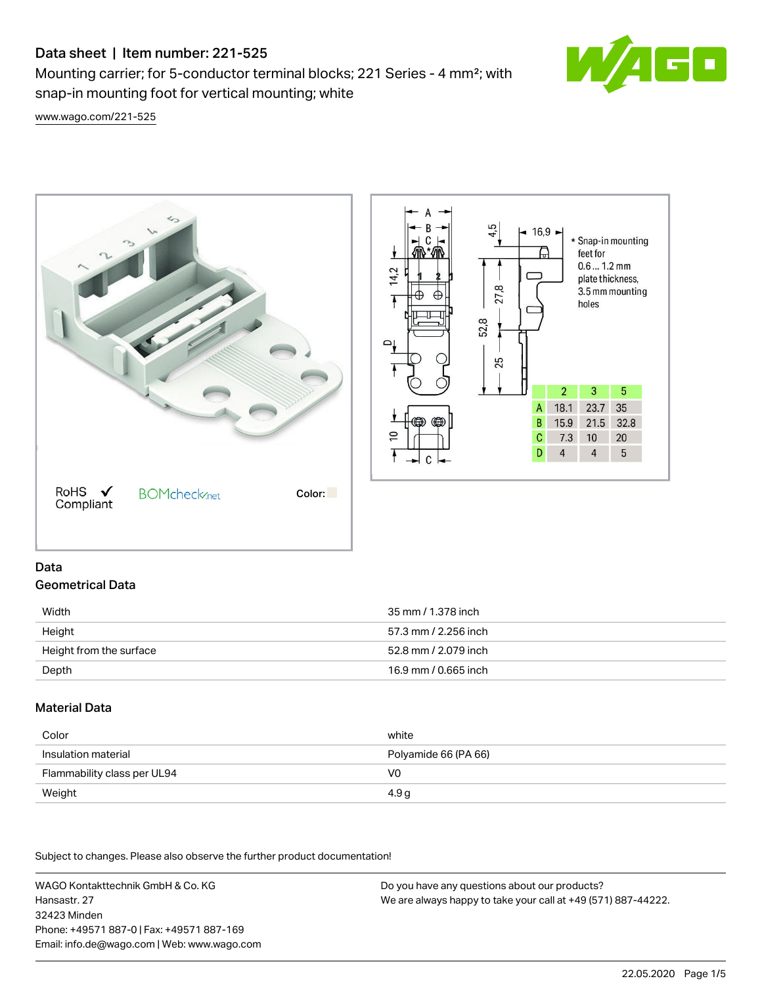# Data sheet | Item number: 221-525

Mounting carrier; for 5-conductor terminal blocks; 221 Series - 4 mm²; with snap-in mounting foot for vertical mounting; white



[www.wago.com/221-525](http://www.wago.com/221-525)





## Data Geometrical Data

| Width                   | 35 mm / 1.378 inch   |
|-------------------------|----------------------|
| Height                  | 57.3 mm / 2.256 inch |
| Height from the surface | 52.8 mm / 2.079 inch |
| Depth                   | 16.9 mm / 0.665 inch |

## Material Data

| Color                       | white                |
|-----------------------------|----------------------|
| Insulation material         | Polyamide 66 (PA 66) |
| Flammability class per UL94 | V0                   |
| Weight                      | 4.9 g                |

Subject to changes. Please also observe the further product documentation!

WAGO Kontakttechnik GmbH & Co. KG Hansastr. 27 32423 Minden Phone: +49571 887-0 | Fax: +49571 887-169 Email: info.de@wago.com | Web: www.wago.com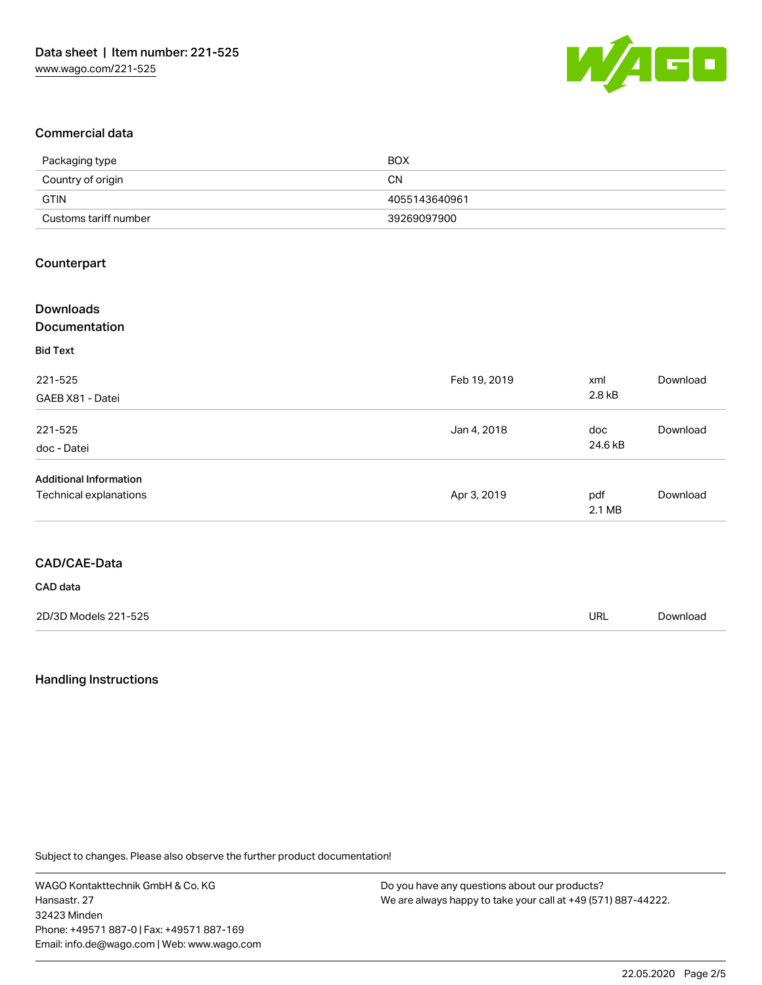

## Commercial data

| Packaging type        | <b>BOX</b>    |
|-----------------------|---------------|
| Country of origin     | <b>CN</b>     |
| <b>GTIN</b>           | 4055143640961 |
| Customs tariff number | 39269097900   |

## Counterpart

| <b>Downloads</b><br>Documentation |              |         |          |
|-----------------------------------|--------------|---------|----------|
| <b>Bid Text</b>                   |              |         |          |
| 221-525                           | Feb 19, 2019 | xml     | Download |
| GAEB X81 - Datei                  |              | 2.8 kB  |          |
| 221-525                           | Jan 4, 2018  | doc     | Download |
| doc - Datei                       |              | 24.6 kB |          |
| <b>Additional Information</b>     |              |         |          |
| Technical explanations            | Apr 3, 2019  | pdf     | Download |
|                                   |              | 2.1 MB  |          |
|                                   |              |         |          |
| CAD/CAE-Data                      |              |         |          |

#### CAD data

| 2D/3D Models 221-525 | url | Download |
|----------------------|-----|----------|
|                      |     |          |

## Handling Instructions

Subject to changes. Please also observe the further product documentation!

WAGO Kontakttechnik GmbH & Co. KG Hansastr. 27 32423 Minden Phone: +49571 887-0 | Fax: +49571 887-169 Email: info.de@wago.com | Web: www.wago.com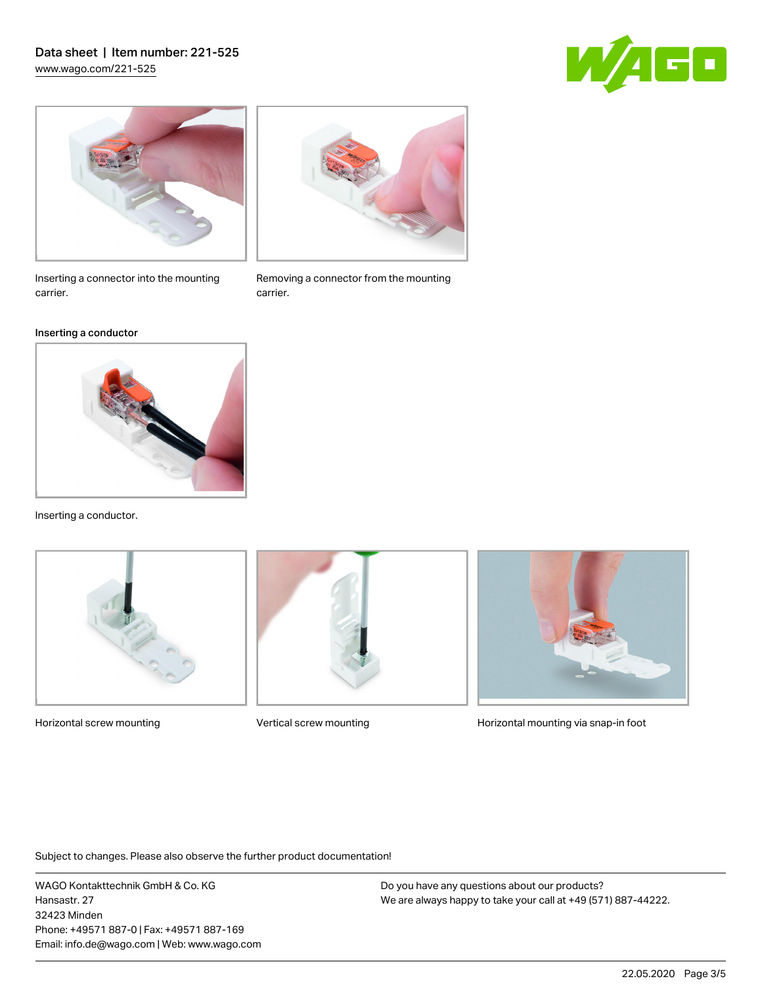## Data sheet | Item number: 221-525 [www.wago.com/221-525](http://www.wago.com/221-525)







### Inserting a conductor



Inserting a conductor.





Removing a connector from the mounting

carrier.



Horizontal screw mounting **Vertical screw mounting Community** Horizontal mounting via snap-in foot

Subject to changes. Please also observe the further product documentation!

WAGO Kontakttechnik GmbH & Co. KG Hansastr. 27 32423 Minden Phone: +49571 887-0 | Fax: +49571 887-169 Email: info.de@wago.com | Web: www.wago.com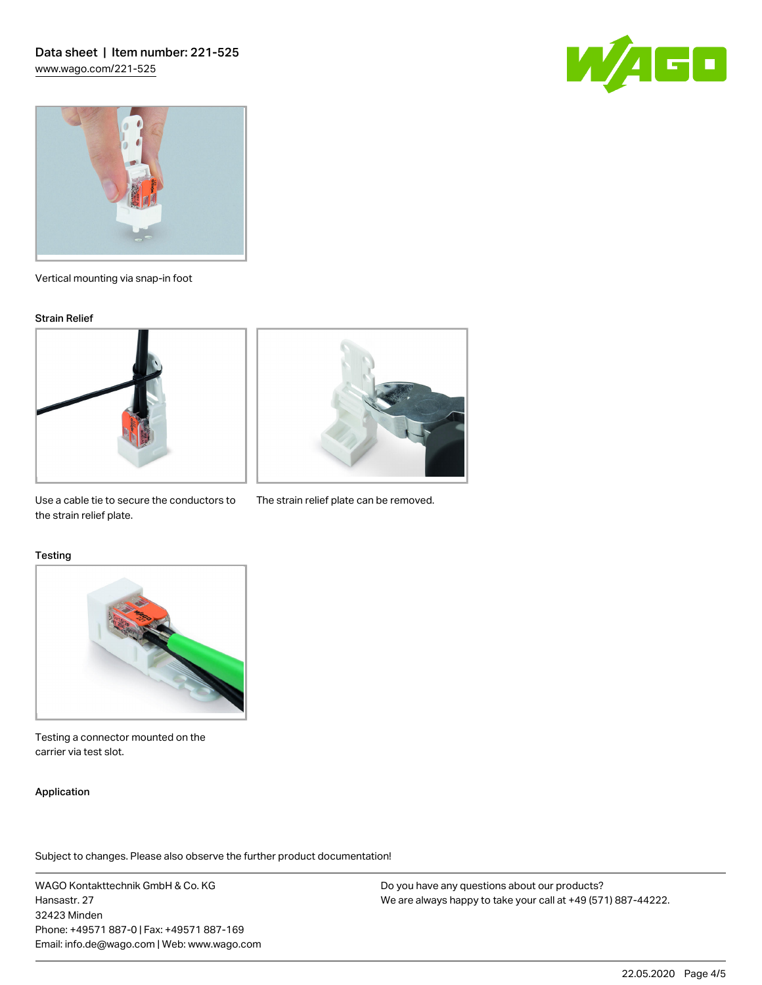



Vertical mounting via snap-in foot

#### Strain Relief





Use a cable tie to secure the conductors to The strain relief plate can be removed. the strain relief plate.

#### **Testing**



Testing a connector mounted on the carrier via test slot.

### Application

Subject to changes. Please also observe the further product documentation!

WAGO Kontakttechnik GmbH & Co. KG Hansastr. 27 32423 Minden Phone: +49571 887-0 | Fax: +49571 887-169 Email: info.de@wago.com | Web: www.wago.com